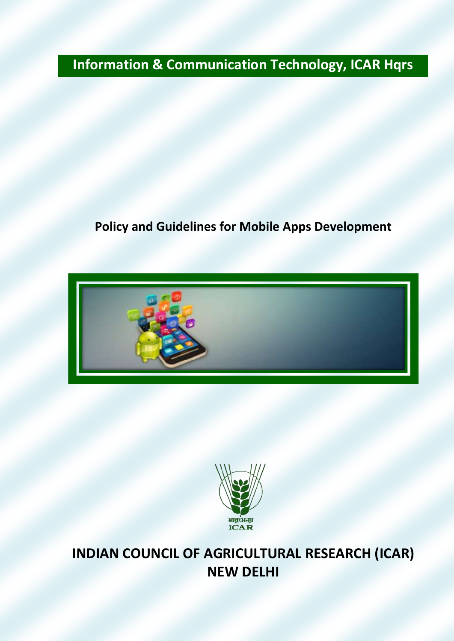# **Information & Communication Technology, ICAR Hqrs**

# **Policy and Guidelines for Mobile Apps Development**





**INDIAN COUNCIL OF AGRICULTURAL RESEARCH (ICAR) NEW DELHI**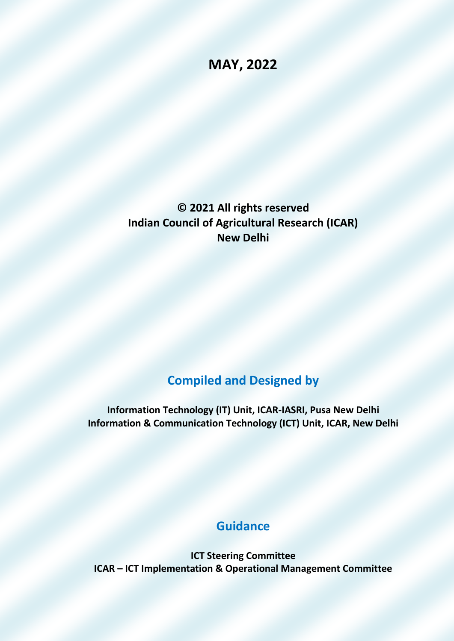## **MAY, 2022**

**© 2021 All rights reserved Indian Council of Agricultural Research (ICAR) New Delhi**

### **Compiled and Designed by**

**Information Technology (IT) Unit, ICAR-IASRI, Pusa New Delhi Information & Communication Technology (ICT) Unit, ICAR, New Delhi**

### **Guidance**

**ICT Steering Committee ICAR – ICT Implementation & Operational Management Committee**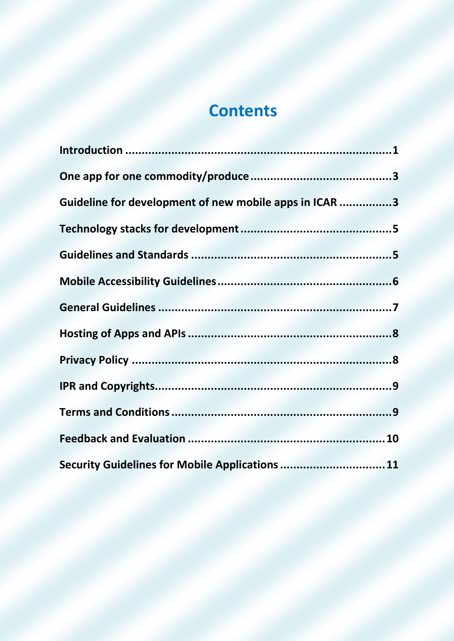# **Contents**

<span id="page-2-0"></span>

| Guideline for development of new mobile apps in ICAR 3 |  |
|--------------------------------------------------------|--|
|                                                        |  |
|                                                        |  |
|                                                        |  |
|                                                        |  |
|                                                        |  |
|                                                        |  |
|                                                        |  |
|                                                        |  |
|                                                        |  |
| Security Guidelines for Mobile Applications  11        |  |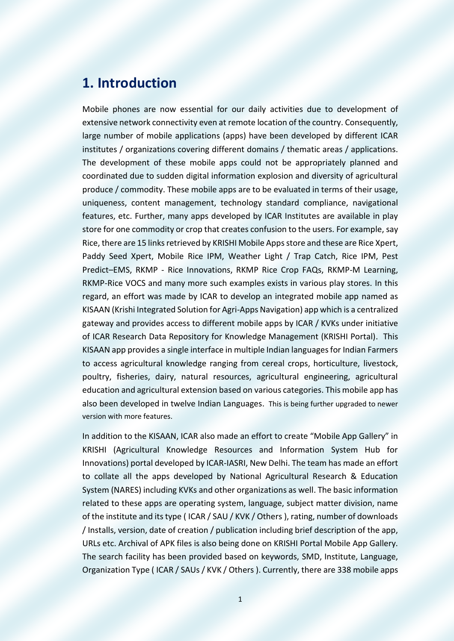#### **1. Introduction**

Mobile phones are now essential for our daily activities due to development of extensive network connectivity even at remote location of the country. Consequently, large number of mobile applications (apps) have been developed by different ICAR institutes / organizations covering different domains / thematic areas / applications. The development of these mobile apps could not be appropriately planned and coordinated due to sudden digital information explosion and diversity of agricultural produce / commodity. These mobile apps are to be evaluated in terms of their usage, uniqueness, content management, technology standard compliance, navigational features, etc. Further, many apps developed by ICAR Institutes are available in play store for one commodity or crop that creates confusion to the users. For example, say Rice, there are 15 links retrieved by KRISHI Mobile Apps store and these are Rice Xpert, Paddy Seed Xpert, Mobile Rice IPM, Weather Light / Trap Catch, Rice IPM, Pest Predict–EMS, RKMP - Rice Innovations, RKMP Rice Crop FAQs, RKMP-M Learning, RKMP-Rice VOCS and many more such examples exists in various play stores. In this regard, an effort was made by ICAR to develop an integrated mobile app named as KISAAN (Krishi Integrated Solution for Agri-Apps Navigation) app which is a centralized gateway and provides access to different mobile apps by ICAR / KVKs under initiative of ICAR Research Data Repository for Knowledge Management (KRISHI Portal). This KISAAN app provides a single interface in multiple Indian languages for Indian Farmers to access agricultural knowledge ranging from cereal crops, horticulture, livestock, poultry, fisheries, dairy, natural resources, agricultural engineering, agricultural education and agricultural extension based on various categories. This mobile app has also been developed in twelve Indian Languages. This is being further upgraded to newer version with more features.

In addition to the KISAAN, ICAR also made an effort to create "Mobile App Gallery" in KRISHI (Agricultural Knowledge Resources and Information System Hub for Innovations) portal developed by ICAR-IASRI, New Delhi. The team has made an effort to collate all the apps developed by National Agricultural Research & Education System (NARES) including KVKs and other organizations as well. The basic information related to these apps are operating system, language, subject matter division, name of the institute and its type ( ICAR / SAU / KVK / Others ), rating, number of downloads / Installs, version, date of creation / publication including brief description of the app, URLs etc. Archival of APK files is also being done on KRISHI Portal Mobile App Gallery. The search facility has been provided based on keywords, SMD, Institute, Language, Organization Type ( ICAR / SAUs / KVK / Others ). Currently, there are 338 mobile apps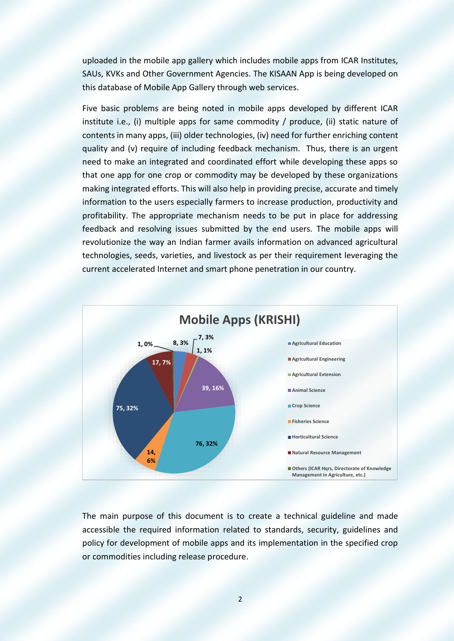uploaded in the mobile app gallery which includes mobile apps from ICAR Institutes, SAUs, KVKs and Other Government Agencies. The KISAAN App is being developed on this database of Mobile App Gallery through web services.

Five basic problems are being noted in mobile apps developed by different ICAR institute i.e., (i) multiple apps for same commodity / produce, (ii) static nature of contents in many apps, (iii) older technologies, (iv) need for further enriching content quality and (v) require of including feedback mechanism. Thus, there is an urgent need to make an integrated and coordinated effort while developing these apps so that one app for one crop or commodity may be developed by these organizations making integrated efforts. This will also help in providing precise, accurate and timely information to the users especially farmers to increase production, productivity and profitability. The appropriate mechanism needs to be put in place for addressing feedback and resolving issues submitted by the end users. The mobile apps will revolutionize the way an Indian farmer avails information on advanced agricultural technologies, seeds, varieties, and livestock as per their requirement leveraging the current accelerated Internet and smart phone penetration in our country.



The main purpose of this document is to create a technical guideline and made accessible the required information related to standards, security, guidelines and policy for development of mobile apps and its implementation in the specified crop or commodities including release procedure.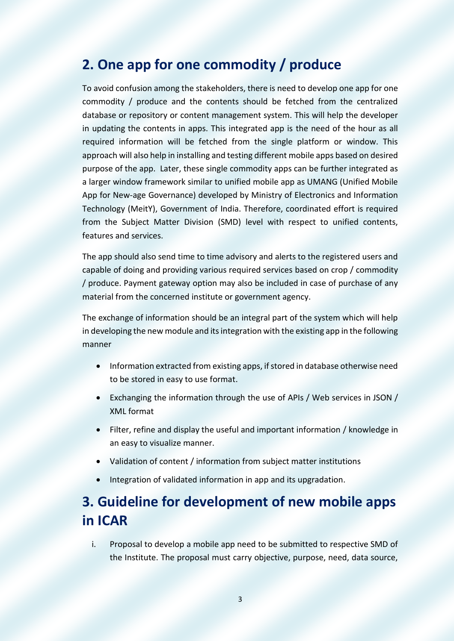### <span id="page-5-0"></span>**2. One app for one commodity / produce**

To avoid confusion among the stakeholders, there is need to develop one app for one commodity / produce and the contents should be fetched from the centralized database or repository or content management system. This will help the developer in updating the contents in apps. This integrated app is the need of the hour as all required information will be fetched from the single platform or window. This approach will also help in installing and testing different mobile apps based on desired purpose of the app. Later, these single commodity apps can be further integrated as a larger window framework similar to unified mobile app as UMANG (Unified Mobile App for New-age Governance) developed by Ministry of Electronics and Information Technology (MeitY), Government of India. Therefore, coordinated effort is required from the Subject Matter Division (SMD) level with respect to unified contents, features and services.

The app should also send time to time advisory and alerts to the registered users and capable of doing and providing various required services based on crop / commodity / produce. Payment gateway option may also be included in case of purchase of any material from the concerned institute or government agency.

The exchange of information should be an integral part of the system which will help in developing the new module and its integration with the existing app in the following manner

- Information extracted from existing apps, if stored in database otherwise need to be stored in easy to use format.
- Exchanging the information through the use of APIs / Web services in JSON / XML format
- Filter, refine and display the useful and important information / knowledge in an easy to visualize manner.
- Validation of content / information from subject matter institutions
- Integration of validated information in app and its upgradation.

# <span id="page-5-1"></span>**3. Guideline for development of new mobile apps in ICAR**

i. Proposal to develop a mobile app need to be submitted to respective SMD of the Institute. The proposal must carry objective, purpose, need, data source,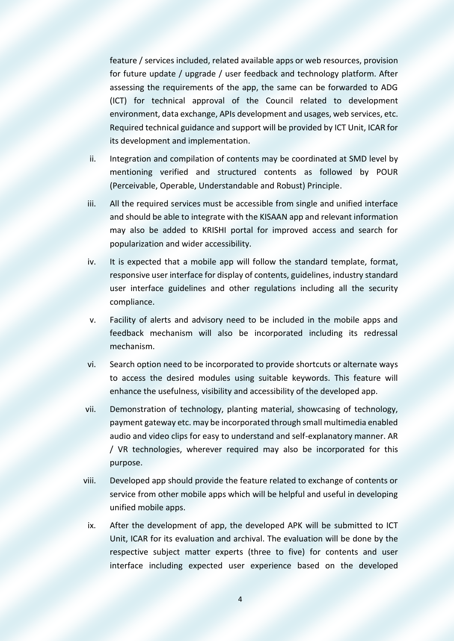feature / services included, related available apps or web resources, provision for future update / upgrade / user feedback and technology platform. After assessing the requirements of the app, the same can be forwarded to ADG (ICT) for technical approval of the Council related to development environment, data exchange, APIs development and usages, web services, etc. Required technical guidance and support will be provided by ICT Unit, ICAR for its development and implementation.

- ii. Integration and compilation of contents may be coordinated at SMD level by mentioning verified and structured contents as followed by POUR (Perceivable, Operable, Understandable and Robust) Principle.
- iii. All the required services must be accessible from single and unified interface and should be able to integrate with the KISAAN app and relevant information may also be added to KRISHI portal for improved access and search for popularization and wider accessibility.
- iv. It is expected that a mobile app will follow the standard template, format, responsive user interface for display of contents, guidelines, industry standard user interface guidelines and other regulations including all the security compliance.
- v. Facility of alerts and advisory need to be included in the mobile apps and feedback mechanism will also be incorporated including its redressal mechanism.
- vi. Search option need to be incorporated to provide shortcuts or alternate ways to access the desired modules using suitable keywords. This feature will enhance the usefulness, visibility and accessibility of the developed app.
- vii. Demonstration of technology, planting material, showcasing of technology, payment gateway etc. may be incorporated through small multimedia enabled audio and video clips for easy to understand and self-explanatory manner. AR / VR technologies, wherever required may also be incorporated for this purpose.
- viii. Developed app should provide the feature related to exchange of contents or service from other mobile apps which will be helpful and useful in developing unified mobile apps.
- ix. After the development of app, the developed APK will be submitted to ICT Unit, ICAR for its evaluation and archival. The evaluation will be done by the respective subject matter experts (three to five) for contents and user interface including expected user experience based on the developed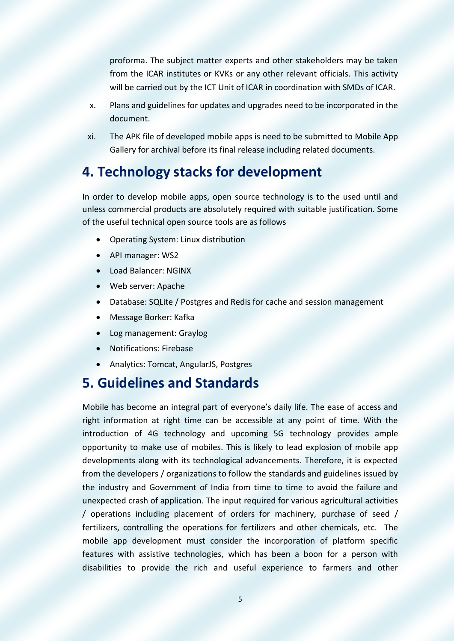proforma. The subject matter experts and other stakeholders may be taken from the ICAR institutes or KVKs or any other relevant officials. This activity will be carried out by the ICT Unit of ICAR in coordination with SMDs of ICAR.

- x. Plans and guidelines for updates and upgrades need to be incorporated in the document.
- xi. The APK file of developed mobile apps is need to be submitted to Mobile App Gallery for archival before its final release including related documents.

### <span id="page-7-0"></span>**4. Technology stacks for development**

In order to develop mobile apps, open source technology is to the used until and unless commercial products are absolutely required with suitable justification. Some of the useful technical open source tools are as follows

- Operating System: Linux distribution
- API manager: WS2
- Load Balancer: NGINX
- Web server: Apache
- Database: SQLite / Postgres and Redis for cache and session management
- Message Borker: Kafka
- Log management: Graylog
- Notifications: Firebase
- Analytics: Tomcat, AngularJS, Postgres

### <span id="page-7-1"></span>**5. Guidelines and Standards**

Mobile has become an integral part of everyone's daily life. The ease of access and right information at right time can be accessible at any point of time. With the introduction of 4G technology and upcoming 5G technology provides ample opportunity to make use of mobiles. This is likely to lead explosion of mobile app developments along with its technological advancements. Therefore, it is expected from the developers / organizations to follow the standards and guidelines issued by the industry and Government of India from time to time to avoid the failure and unexpected crash of application. The input required for various agricultural activities / operations including placement of orders for machinery, purchase of seed / fertilizers, controlling the operations for fertilizers and other chemicals, etc. The mobile app development must consider the incorporation of platform specific features with assistive technologies, which has been a boon for a person with disabilities to provide the rich and useful experience to farmers and other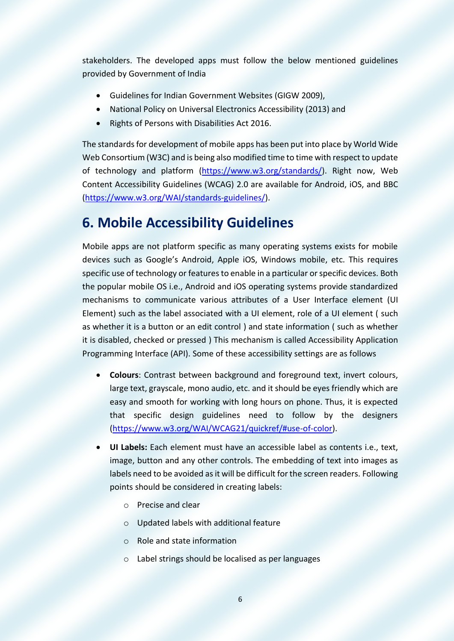stakeholders. The developed apps must follow the below mentioned guidelines provided by Government of India

- Guidelines for Indian Government Websites (GIGW 2009),
- National Policy on Universal Electronics Accessibility (2013) and
- Rights of Persons with Disabilities Act 2016.

The standards for development of mobile apps has been put into place by World Wide Web Consortium (W3C) and is being also modified time to time with respect to update of technology and platform [\(https://www.w3.org/standards/\)](https://www.w3.org/standards/). Right now, Web Content Accessibility Guidelines (WCAG) 2.0 are available for Android, iOS, and BBC [\(https://www.w3.org/WAI/standards-guidelines/\)](https://www.w3.org/WAI/standards-guidelines/).

### <span id="page-8-0"></span>**6. Mobile Accessibility Guidelines**

Mobile apps are not platform specific as many operating systems exists for mobile devices such as Google's Android, Apple iOS, Windows mobile, etc. This requires specific use of technology or features to enable in a particular or specific devices. Both the popular mobile OS i.e., Android and iOS operating systems provide standardized mechanisms to communicate various attributes of a User Interface element (UI Element) such as the label associated with a UI element, role of a UI element ( such as whether it is a button or an edit control ) and state information ( such as whether it is disabled, checked or pressed ) This mechanism is called Accessibility Application Programming Interface (API). Some of these accessibility settings are as follows

- **Colours**: Contrast between background and foreground text, invert colours, large text, grayscale, mono audio, etc. and it should be eyes friendly which are easy and smooth for working with long hours on phone. Thus, it is expected that specific design guidelines need to follow by the designers [\(https://www.w3.org/WAI/WCAG21/quickref/#use-of-color\)](https://www.w3.org/WAI/WCAG21/quickref/#use-of-color).
- **UI Labels:** Each element must have an accessible label as contents i.e., text, image, button and any other controls. The embedding of text into images as labels need to be avoided as it will be difficult for the screen readers. Following points should be considered in creating labels:
	- o Precise and clear
	- o Updated labels with additional feature
	- o Role and state information
	- o Label strings should be localised as per languages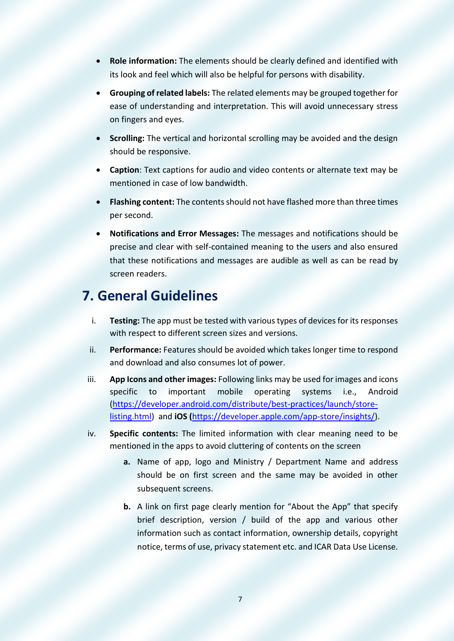- **Role information:** The elements should be clearly defined and identified with its look and feel which will also be helpful for persons with disability.
- **Grouping of related labels:** The related elements may be grouped together for ease of understanding and interpretation. This will avoid unnecessary stress on fingers and eyes.
- **Scrolling:** The vertical and horizontal scrolling may be avoided and the design should be responsive.
- **Caption**: Text captions for audio and video contents or alternate text may be mentioned in case of low bandwidth.
- **Flashing content:** The contents should not have flashed more than three times per second.
- **Notifications and Error Messages:** The messages and notifications should be precise and clear with self-contained meaning to the users and also ensured that these notifications and messages are audible as well as can be read by screen readers.

### <span id="page-9-0"></span>**7. General Guidelines**

- i. **Testing:** The app must be tested with various types of devices for its responses with respect to different screen sizes and versions.
- ii. **Performance:** Features should be avoided which takes longer time to respond and download and also consumes lot of power.
- iii. **App Icons and other images:** Following links may be used for images and icons specific to important mobile operating systems i.e., Android [\(https://developer.android.com/distribute/best-practices/launch/store](https://developer.android.com/distribute/best-practices/launch/store-listing.html)[listing.html\)](https://developer.android.com/distribute/best-practices/launch/store-listing.html) and **iOS (**[https://developer.apple.com/app-store/insights/\)](https://developer.apple.com/app-store/insights/).
- iv. **Specific contents:** The limited information with clear meaning need to be mentioned in the apps to avoid cluttering of contents on the screen
	- **a.** Name of app, logo and Ministry / Department Name and address should be on first screen and the same may be avoided in other subsequent screens.
	- **b.** A link on first page clearly mention for "About the App" that specify brief description, version / build of the app and various other information such as contact information, ownership details, copyright notice, terms of use, privacy statement etc. and ICAR Data Use License.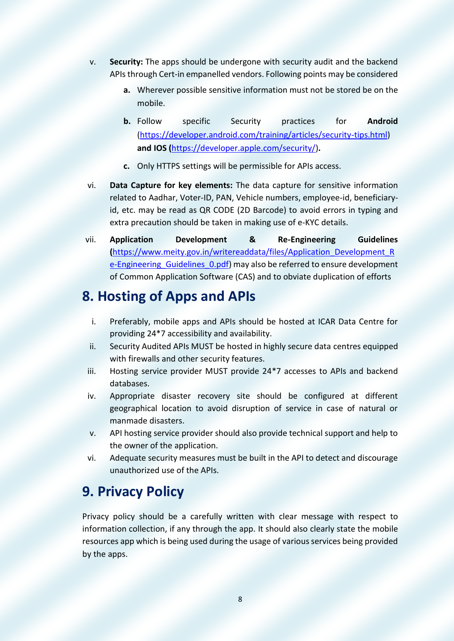- v. **Security:** The apps should be undergone with security audit and the backend APIs through Cert-in empanelled vendors. Following points may be considered
	- **a.** Wherever possible sensitive information must not be stored be on the mobile.
	- **b.** Follow specific Security practices for **Android** [\(https://developer.android.com/training/articles/security-tips.html\)](https://developer.android.com/training/articles/security-tips.html) **and IOS (**[https://developer.apple.com/security/\)](https://developer.apple.com/security/)**.**
	- **c.** Only HTTPS settings will be permissible for APIs access.
- vi. **Data Capture for key elements:** The data capture for sensitive information related to Aadhar, Voter-ID, PAN, Vehicle numbers, employee-id, beneficiaryid, etc. may be read as QR CODE (2D Barcode) to avoid errors in typing and extra precaution should be taken in making use of e-KYC details.
- vii. **Application Development & Re-Engineering Guidelines (**[https://www.meity.gov.in/writereaddata/files/Application\\_Development\\_R](https://www.meity.gov.in/writereaddata/files/Application_Development_Re-Engineering_Guidelines_0.pdf) [e-Engineering\\_Guidelines\\_0.pdf\)](https://www.meity.gov.in/writereaddata/files/Application_Development_Re-Engineering_Guidelines_0.pdf) may also be referred to ensure development of Common Application Software (CAS) and to obviate duplication of efforts

#### **8. Hosting of Apps and APIs**

- <span id="page-10-0"></span>i. Preferably, mobile apps and APIs should be hosted at ICAR Data Centre for providing 24\*7 accessibility and availability.
- ii. Security Audited APIs MUST be hosted in highly secure data centres equipped with firewalls and other security features.
- iii. Hosting service provider MUST provide 24\*7 accesses to APIs and backend databases.
- iv. Appropriate disaster recovery site should be configured at different geographical location to avoid disruption of service in case of natural or manmade disasters.
- v. API hosting service provider should also provide technical support and help to the owner of the application.
- vi. Adequate security measures must be built in the API to detect and discourage unauthorized use of the APIs.

### <span id="page-10-1"></span>**9. Privacy Policy**

Privacy policy should be a carefully written with clear message with respect to information collection, if any through the app. It should also clearly state the mobile resources app which is being used during the usage of various services being provided by the apps.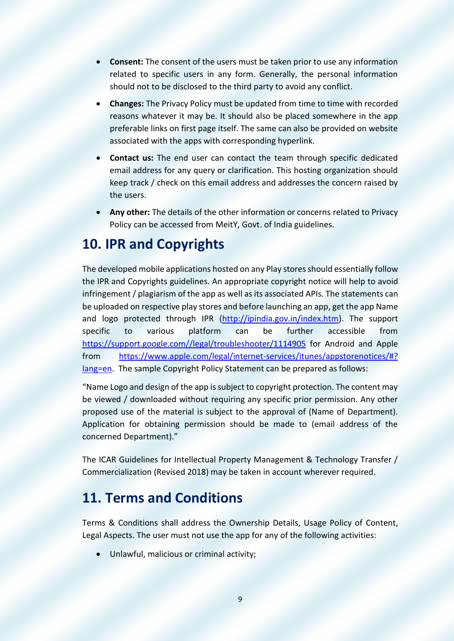- **Consent:** The consent of the users must be taken prior to use any information related to specific users in any form. Generally, the personal information should not to be disclosed to the third party to avoid any conflict.
- **Changes:** The Privacy Policy must be updated from time to time with recorded reasons whatever it may be. It should also be placed somewhere in the app preferable links on first page itself. The same can also be provided on website associated with the apps with corresponding hyperlink.
- **Contact us:** The end user can contact the team through specific dedicated email address for any query or clarification. This hosting organization should keep track / check on this email address and addresses the concern raised by the users.
- **Any other:** The details of the other information or concerns related to Privacy Policy can be accessed from MeitY, Govt. of India guidelines.

#### <span id="page-11-0"></span>**10. IPR and Copyrights**

The developed mobile applications hosted on any Play stores should essentially follow the IPR and Copyrights guidelines. An appropriate copyright notice will help to avoid infringement / plagiarism of the app as well as its associated APIs. The statements can be uploaded on respective play stores and before launching an app, get the app Name and logo protected through IPR [\(http://ipindia.gov.in/index.htm\)](http://ipindia.gov.in/index.htm). The support specific to various platform can be further accessible from [https://support.google.com//legal/troubleshooter/1114905](https://support.google.com/legal/troubleshooter/1114905) for Android and Apple from [https://www.apple.com/legal/internet-services/itunes/appstorenotices/#?](https://www.apple.com/legal/internet-services/itunes/appstorenotices/#? lang=en)  [lang=en.](https://www.apple.com/legal/internet-services/itunes/appstorenotices/#? lang=en) The sample Copyright Policy Statement can be prepared as follows:

"Name Logo and design of the app is subject to copyright protection. The content may be viewed / downloaded without requiring any specific prior permission. Any other proposed use of the material is subject to the approval of (Name of Department). Application for obtaining permission should be made to (email address of the concerned Department)."

The ICAR Guidelines for Intellectual Property Management & Technology Transfer / Commercialization (Revised 2018) may be taken in account wherever required.

### <span id="page-11-1"></span>**11. Terms and Conditions**

Terms & Conditions shall address the Ownership Details, Usage Policy of Content, Legal Aspects. The user must not use the app for any of the following activities:

Unlawful, malicious or criminal activity;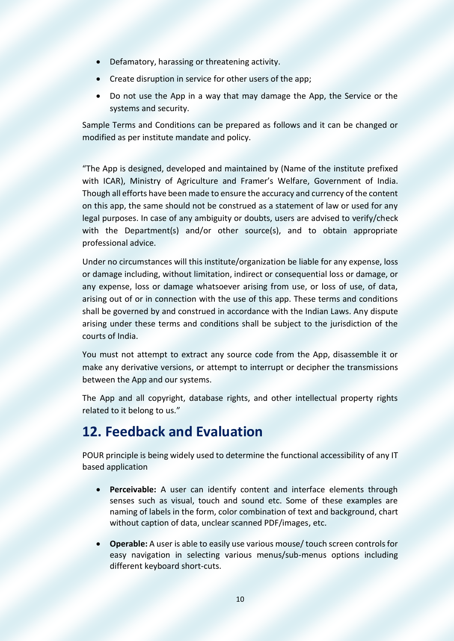- Defamatory, harassing or threatening activity.
- Create disruption in service for other users of the app;
- Do not use the App in a way that may damage the App, the Service or the systems and security.

Sample Terms and Conditions can be prepared as follows and it can be changed or modified as per institute mandate and policy.

"The App is designed, developed and maintained by (Name of the institute prefixed with ICAR), Ministry of Agriculture and Framer's Welfare, Government of India. Though all efforts have been made to ensure the accuracy and currency of the content on this app, the same should not be construed as a statement of law or used for any legal purposes. In case of any ambiguity or doubts, users are advised to verify/check with the Department(s) and/or other source(s), and to obtain appropriate professional advice.

Under no circumstances will this institute/organization be liable for any expense, loss or damage including, without limitation, indirect or consequential loss or damage, or any expense, loss or damage whatsoever arising from use, or loss of use, of data, arising out of or in connection with the use of this app. These terms and conditions shall be governed by and construed in accordance with the Indian Laws. Any dispute arising under these terms and conditions shall be subject to the jurisdiction of the courts of India.

You must not attempt to extract any source code from the App, disassemble it or make any derivative versions, or attempt to interrupt or decipher the transmissions between the App and our systems.

The App and all copyright, database rights, and other intellectual property rights related to it belong to us."

#### <span id="page-12-0"></span>**12. Feedback and Evaluation**

POUR principle is being widely used to determine the functional accessibility of any IT based application

- **Perceivable:** A user can identify content and interface elements through senses such as visual, touch and sound etc. Some of these examples are naming of labels in the form, color combination of text and background, chart without caption of data, unclear scanned PDF/images, etc.
- **Operable:** A user is able to easily use various mouse/ touch screen controls for easy navigation in selecting various menus/sub-menus options including different keyboard short-cuts.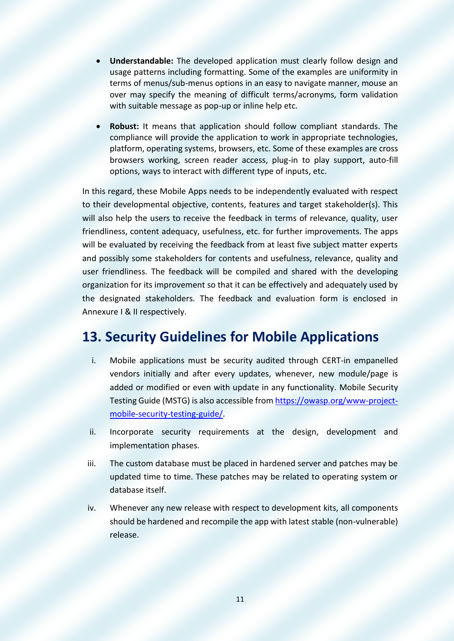- **Understandable:** The developed application must clearly follow design and usage patterns including formatting. Some of the examples are uniformity in terms of menus/sub-menus options in an easy to navigate manner, mouse an over may specify the meaning of difficult terms/acronyms, form validation with suitable message as pop-up or inline help etc.
- **Robust:** It means that application should follow compliant standards. The compliance will provide the application to work in appropriate technologies, platform, operating systems, browsers, etc. Some of these examples are cross browsers working, screen reader access, plug-in to play support, auto-fill options, ways to interact with different type of inputs, etc.

In this regard, these Mobile Apps needs to be independently evaluated with respect to their developmental objective, contents, features and target stakeholder(s). This will also help the users to receive the feedback in terms of relevance, quality, user friendliness, content adequacy, usefulness, etc. for further improvements. The apps will be evaluated by receiving the feedback from at least five subject matter experts and possibly some stakeholders for contents and usefulness, relevance, quality and user friendliness. The feedback will be compiled and shared with the developing organization for its improvement so that it can be effectively and adequately used by the designated stakeholders. The feedback and evaluation form is enclosed in Annexure I & II respectively.

#### <span id="page-13-0"></span>**13. Security Guidelines for Mobile Applications**

- i. Mobile applications must be security audited through CERT-in empanelled vendors initially and after every updates, whenever, new module/page is added or modified or even with update in any functionality. Mobile Security Testing Guide (MSTG) is also accessible from [https://owasp.org/www-project](https://owasp.org/www-project-mobile-security-testing-guide/)[mobile-security-testing-guide/.](https://owasp.org/www-project-mobile-security-testing-guide/)
- ii. Incorporate security requirements at the design, development and implementation phases.
- iii. The custom database must be placed in hardened server and patches may be updated time to time. These patches may be related to operating system or database itself.
- iv. Whenever any new release with respect to development kits, all components should be hardened and recompile the app with latest stable (non-vulnerable) release.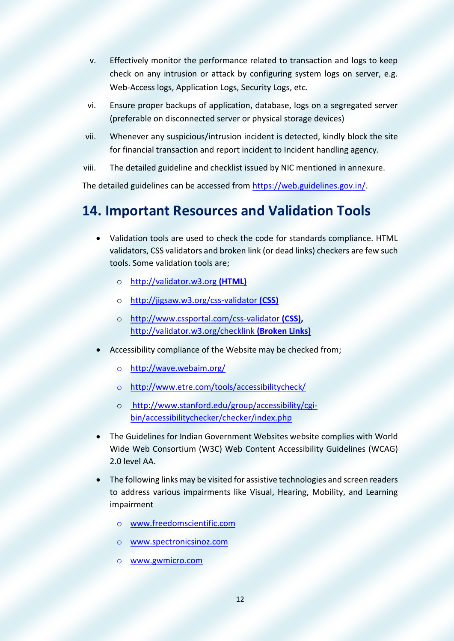- v. Effectively monitor the performance related to transaction and logs to keep check on any intrusion or attack by configuring system logs on server, e.g. Web-Access logs, Application Logs, Security Logs, etc.
- vi. Ensure proper backups of application, database, logs on a segregated server (preferable on disconnected server or physical storage devices)
- vii. Whenever any suspicious/intrusion incident is detected, kindly block the site for financial transaction and report incident to Incident handling agency.
- viii. The detailed guideline and checklist issued by NIC mentioned in annexure.

The detailed guidelines can be accessed from [https://web.guidelines.gov.in/.](https://web.guidelines.gov.in/)

# **14. Important Resources and Validation Tools**

- Validation tools are used to check the code for standards compliance. HTML validators, CSS validators and broken link (or dead links) checkers are few such tools. Some validation tools are;
	- o [http://validator.w3.org](http://validator.w3.org (HTML)) **(HTML)**
	- o [http://jigsaw.w3.org/css-validator](http://jigsaw.w3.org/css-validator (CSS)) **(CSS)**
	- o [http://www.cssportal.com/css-validator](http://www.cssportal.com/css-validator (CSS)) **(CSS),**  [http://validator.w3.org/checklink](http://validator.w3.org/checklink%20(Broken%20Links)) **(Broken Links)**
- Accessibility compliance of the Website may be checked from;
	- o <http://wave.webaim.org/>
	- o <http://www.etre.com/tools/accessibilitycheck/>
	- o [http://www.stanford.edu/group/accessibility/cgi](http://www.stanford.edu/group/accessibility/cgi-bin/accessibilitychecker/checker/index.php)[bin/accessibilitychecker/checker/index.php](http://www.stanford.edu/group/accessibility/cgi-bin/accessibilitychecker/checker/index.php)
- The Guidelines for Indian Government Websites website complies with World Wide Web Consortium (W3C) Web Content Accessibility Guidelines (WCAG) 2.0 level AA.
- The following links may be visited for assistive technologies and screen readers to address various impairments like Visual, Hearing, Mobility, and Learning impairment
	- o [www.freedomscientific.com](http://www.freedomscientific.com/)
	- [www.spectronicsinoz.com](http://www.spectronicsinoz.com/)
	- o [www.gwmicro.com](http://www.gwmicro.com/)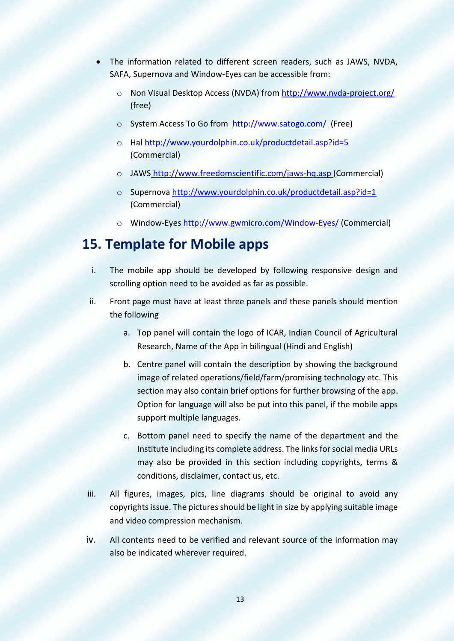- The information related to different screen readers, such as JAWS, NVDA, SAFA, Supernova and Window-Eyes can be accessible from:
	- o Non Visual Desktop Access (NVDA) from<http://www.nvda-project.org/> (free)
	- o System Access To Go from <http://www.satogo.com/> (Free)
	- o Hal <http://www.yourdolphin.co.uk/productdetail.asp?id=5> (Commercial)
	- o JAWS <http://www.freedomscientific.com/jaws-hq.asp> (Commercial)
	- o Supernova<http://www.yourdolphin.co.uk/productdetail.asp?id=1> (Commercial)
	- o Window-Eyes<http://www.gwmicro.com/Window-Eyes/> (Commercial)

### **15. Template for Mobile apps**

- i. The mobile app should be developed by following responsive design and scrolling option need to be avoided as far as possible.
- ii. Front page must have at least three panels and these panels should mention the following
	- a. Top panel will contain the logo of ICAR, Indian Council of Agricultural Research, Name of the App in bilingual (Hindi and English)
	- b. Centre panel will contain the description by showing the background image of related operations/field/farm/promising technology etc. This section may also contain brief options for further browsing of the app. Option for language will also be put into this panel, if the mobile apps support multiple languages.
	- c. Bottom panel need to specify the name of the department and the Institute including its complete address. The links for social media URLs may also be provided in this section including copyrights, terms & conditions, disclaimer, contact us, etc.
- iii. All figures, images, pics, line diagrams should be original to avoid any copyrights issue. The pictures should be light in size by applying suitable image and video compression mechanism.
- iv. All contents need to be verified and relevant source of the information may also be indicated wherever required.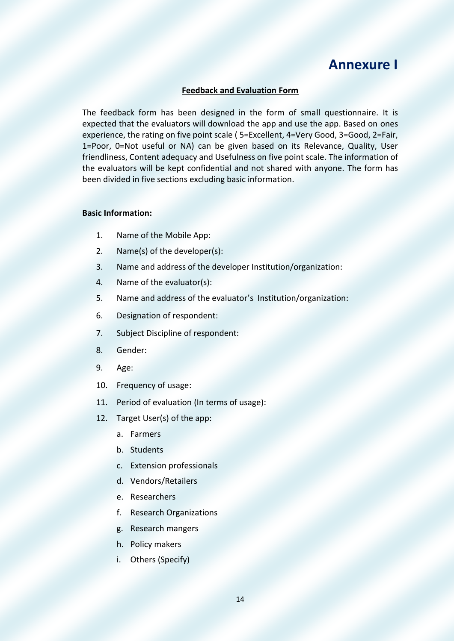### **Annexure I**

#### **Feedback and Evaluation Form**

The feedback form has been designed in the form of small questionnaire. It is expected that the evaluators will download the app and use the app. Based on ones experience, the rating on five point scale ( 5=Excellent, 4=Very Good, 3=Good, 2=Fair, 1=Poor, 0=Not useful or NA) can be given based on its Relevance, Quality, User friendliness, Content adequacy and Usefulness on five point scale. The information of the evaluators will be kept confidential and not shared with anyone. The form has been divided in five sections excluding basic information.

#### **Basic Information:**

- 1. Name of the Mobile App:
- 2. Name(s) of the developer(s):
- 3. Name and address of the developer Institution/organization:
- 4. Name of the evaluator(s):
- 5. Name and address of the evaluator's Institution/organization:
- 6. Designation of respondent:
- 7. Subject Discipline of respondent:
- 8. Gender:
- 9. Age:
- 10. Frequency of usage:
- 11. Period of evaluation (In terms of usage):
- 12. Target User(s) of the app:
	- a. Farmers
	- b. Students
	- c. Extension professionals
	- d. Vendors/Retailers
	- e. Researchers
	- f. Research Organizations
	- g. Research mangers
	- h. Policy makers
	- i. Others (Specify)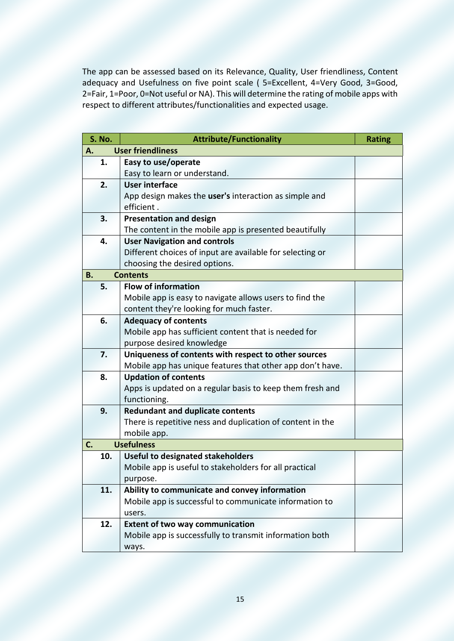The app can be assessed based on its Relevance, Quality, User friendliness, Content adequacy and Usefulness on five point scale ( 5=Excellent, 4=Very Good, 3=Good, 2=Fair, 1=Poor, 0=Not useful or NA). This will determine the rating of mobile apps with respect to different attributes/functionalities and expected usage.

|    | <b>S. No.</b> | <b>Attribute/Functionality</b>                             | <b>Rating</b> |
|----|---------------|------------------------------------------------------------|---------------|
| А. |               | <b>User friendliness</b>                                   |               |
|    | 1.            | Easy to use/operate                                        |               |
|    |               | Easy to learn or understand.                               |               |
|    | 2.            | <b>User interface</b>                                      |               |
|    |               | App design makes the user's interaction as simple and      |               |
|    |               | efficient.                                                 |               |
|    | 3.            | <b>Presentation and design</b>                             |               |
|    |               | The content in the mobile app is presented beautifully     |               |
|    | 4.            | <b>User Navigation and controls</b>                        |               |
|    |               | Different choices of input are available for selecting or  |               |
|    |               | choosing the desired options.                              |               |
| В. |               | <b>Contents</b>                                            |               |
|    | 5.            | <b>Flow of information</b>                                 |               |
|    |               | Mobile app is easy to navigate allows users to find the    |               |
|    |               | content they're looking for much faster.                   |               |
|    | 6.            | <b>Adequacy of contents</b>                                |               |
|    |               | Mobile app has sufficient content that is needed for       |               |
|    |               | purpose desired knowledge                                  |               |
|    | 7.            | Uniqueness of contents with respect to other sources       |               |
|    |               | Mobile app has unique features that other app don't have.  |               |
|    | 8.            | <b>Updation of contents</b>                                |               |
|    |               | Apps is updated on a regular basis to keep them fresh and  |               |
|    |               | functioning.                                               |               |
|    | 9.            | <b>Redundant and duplicate contents</b>                    |               |
|    |               | There is repetitive ness and duplication of content in the |               |
|    |               | mobile app.                                                |               |
| C. |               | <b>Usefulness</b>                                          |               |
|    | 10.           | <b>Useful to designated stakeholders</b>                   |               |
|    |               | Mobile app is useful to stakeholders for all practical     |               |
|    |               | purpose.                                                   |               |
|    | 11.           | Ability to communicate and convey information              |               |
|    |               | Mobile app is successful to communicate information to     |               |
|    |               | users.                                                     |               |
|    | 12.           | <b>Extent of two way communication</b>                     |               |
|    |               | Mobile app is successfully to transmit information both    |               |
|    |               | ways.                                                      |               |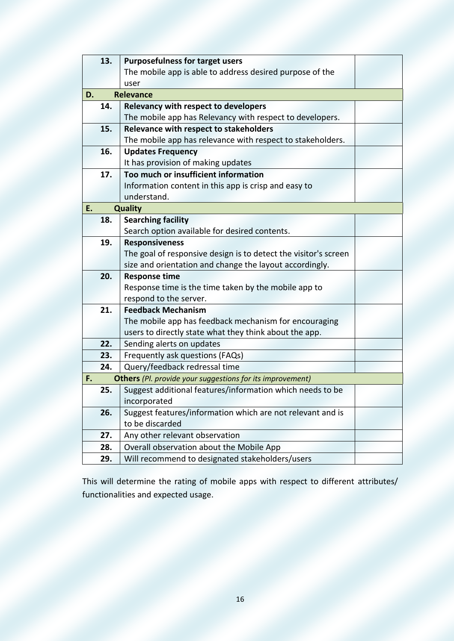|    | 13. | <b>Purposefulness for target users</b>                           |  |
|----|-----|------------------------------------------------------------------|--|
|    |     | The mobile app is able to address desired purpose of the         |  |
|    |     | user                                                             |  |
| D. |     | <b>Relevance</b>                                                 |  |
|    | 14. | <b>Relevancy with respect to developers</b>                      |  |
|    |     | The mobile app has Relevancy with respect to developers.         |  |
|    | 15. | <b>Relevance with respect to stakeholders</b>                    |  |
|    |     | The mobile app has relevance with respect to stakeholders.       |  |
|    | 16. | <b>Updates Frequency</b>                                         |  |
|    |     | It has provision of making updates                               |  |
|    | 17. | Too much or insufficient information                             |  |
|    |     | Information content in this app is crisp and easy to             |  |
|    |     | understand.                                                      |  |
| E. |     | <b>Quality</b>                                                   |  |
|    | 18. | <b>Searching facility</b>                                        |  |
|    |     | Search option available for desired contents.                    |  |
|    | 19. | <b>Responsiveness</b>                                            |  |
|    |     | The goal of responsive design is to detect the visitor's screen  |  |
|    |     | size and orientation and change the layout accordingly.          |  |
|    | 20. | <b>Response time</b>                                             |  |
|    |     | Response time is the time taken by the mobile app to             |  |
|    |     | respond to the server.                                           |  |
|    | 21. | <b>Feedback Mechanism</b>                                        |  |
|    |     | The mobile app has feedback mechanism for encouraging            |  |
|    |     | users to directly state what they think about the app.           |  |
|    | 22. | Sending alerts on updates                                        |  |
|    | 23. | Frequently ask questions (FAQs)                                  |  |
|    | 24. | Query/feedback redressal time                                    |  |
| F. |     | <b>Others</b> (Pl. provide your suggestions for its improvement) |  |
|    | 25. | Suggest additional features/information which needs to be        |  |
|    |     | incorporated                                                     |  |
|    | 26. | Suggest features/information which are not relevant and is       |  |
|    |     | to be discarded                                                  |  |
|    | 27. | Any other relevant observation                                   |  |
|    | 28. | Overall observation about the Mobile App                         |  |
|    | 29. | Will recommend to designated stakeholders/users                  |  |
|    |     |                                                                  |  |

This will determine the rating of mobile apps with respect to different attributes/ functionalities and expected usage.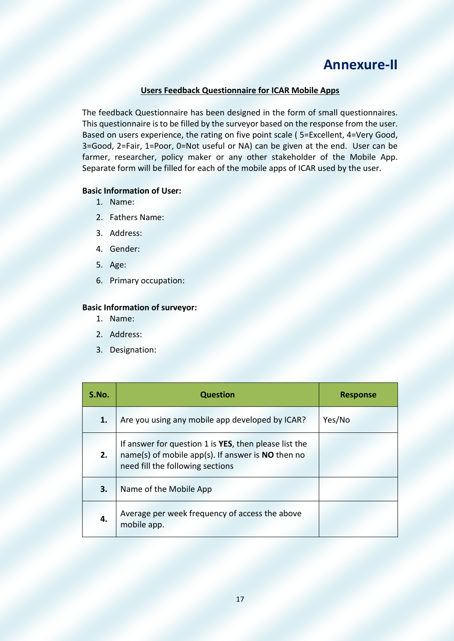### **Annexure-II**

#### **Users Feedback Questionnaire for ICAR Mobile Apps**

The feedback Questionnaire has been designed in the form of small questionnaires. This questionnaire is to be filled by the surveyor based on the response from the user. Based on users experience, the rating on five point scale ( 5=Excellent, 4=Very Good, 3=Good, 2=Fair, 1=Poor, 0=Not useful or NA) can be given at the end. User can be farmer, researcher, policy maker or any other stakeholder of the Mobile App. Separate form will be filled for each of the mobile apps of ICAR used by the user.

#### **Basic Information of User:**

- 1. Name:
- 2. Fathers Name:
- 3. Address:
- 4. Gender:
- 5. Age:
- 6. Primary occupation:

#### **Basic Information of surveyor:**

- 1. Name:
- 2. Address:
- 3. Designation:

| S.No. | <b>Question</b>                                                                                                                                  | <b>Response</b> |
|-------|--------------------------------------------------------------------------------------------------------------------------------------------------|-----------------|
| 1.    | Are you using any mobile app developed by ICAR?                                                                                                  | Yes/No          |
| 2.    | If answer for question 1 is YES, then please list the<br>name(s) of mobile app(s). If answer is $NO$ then no<br>need fill the following sections |                 |
| 3.    | Name of the Mobile App                                                                                                                           |                 |
| 4.    | Average per week frequency of access the above<br>mobile app.                                                                                    |                 |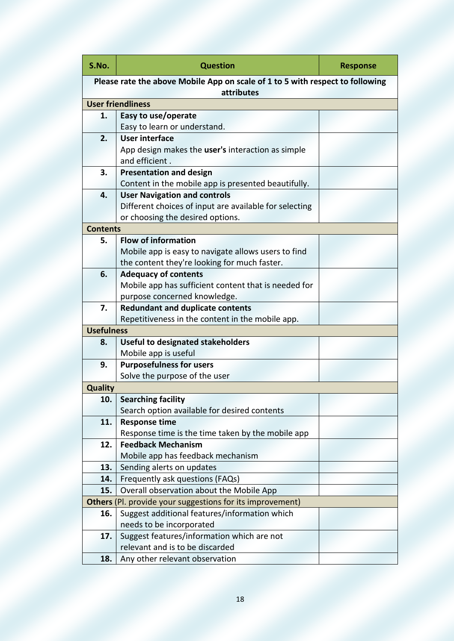| S.No.                                                                                       | <b>Question</b>                                           | <b>Response</b> |  |
|---------------------------------------------------------------------------------------------|-----------------------------------------------------------|-----------------|--|
| Please rate the above Mobile App on scale of 1 to 5 with respect to following<br>attributes |                                                           |                 |  |
|                                                                                             | <b>User friendliness</b>                                  |                 |  |
| 1.                                                                                          | Easy to use/operate                                       |                 |  |
|                                                                                             | Easy to learn or understand.                              |                 |  |
| 2.                                                                                          | <b>User interface</b>                                     |                 |  |
|                                                                                             | App design makes the user's interaction as simple         |                 |  |
|                                                                                             | and efficient.                                            |                 |  |
| 3.                                                                                          | <b>Presentation and design</b>                            |                 |  |
|                                                                                             | Content in the mobile app is presented beautifully.       |                 |  |
| 4.                                                                                          | <b>User Navigation and controls</b>                       |                 |  |
|                                                                                             | Different choices of input are available for selecting    |                 |  |
|                                                                                             | or choosing the desired options.                          |                 |  |
| <b>Contents</b>                                                                             |                                                           |                 |  |
| 5.                                                                                          | <b>Flow of information</b>                                |                 |  |
|                                                                                             | Mobile app is easy to navigate allows users to find       |                 |  |
|                                                                                             | the content they're looking for much faster.              |                 |  |
| 6.                                                                                          | <b>Adequacy of contents</b>                               |                 |  |
|                                                                                             | Mobile app has sufficient content that is needed for      |                 |  |
|                                                                                             | purpose concerned knowledge.                              |                 |  |
| 7.                                                                                          | <b>Redundant and duplicate contents</b>                   |                 |  |
|                                                                                             | Repetitiveness in the content in the mobile app.          |                 |  |
| <b>Usefulness</b>                                                                           |                                                           |                 |  |
| 8.                                                                                          | <b>Useful to designated stakeholders</b>                  |                 |  |
|                                                                                             | Mobile app is useful                                      |                 |  |
| 9.                                                                                          | <b>Purposefulness for users</b>                           |                 |  |
|                                                                                             | Solve the purpose of the user                             |                 |  |
| <b>Quality</b>                                                                              |                                                           |                 |  |
| 10.                                                                                         | <b>Searching facility</b>                                 |                 |  |
|                                                                                             | Search option available for desired contents              |                 |  |
| 11.                                                                                         | <b>Response time</b>                                      |                 |  |
|                                                                                             | Response time is the time taken by the mobile app         |                 |  |
| 12.                                                                                         | <b>Feedback Mechanism</b>                                 |                 |  |
|                                                                                             | Mobile app has feedback mechanism                         |                 |  |
| 13.                                                                                         | Sending alerts on updates                                 |                 |  |
| 14.                                                                                         | Frequently ask questions (FAQs)                           |                 |  |
| 15.                                                                                         | Overall observation about the Mobile App                  |                 |  |
|                                                                                             | Others (Pl. provide your suggestions for its improvement) |                 |  |
| 16.                                                                                         | Suggest additional features/information which             |                 |  |
|                                                                                             | needs to be incorporated                                  |                 |  |
| 17.                                                                                         | Suggest features/information which are not                |                 |  |
|                                                                                             | relevant and is to be discarded                           |                 |  |
| 18.                                                                                         | Any other relevant observation                            |                 |  |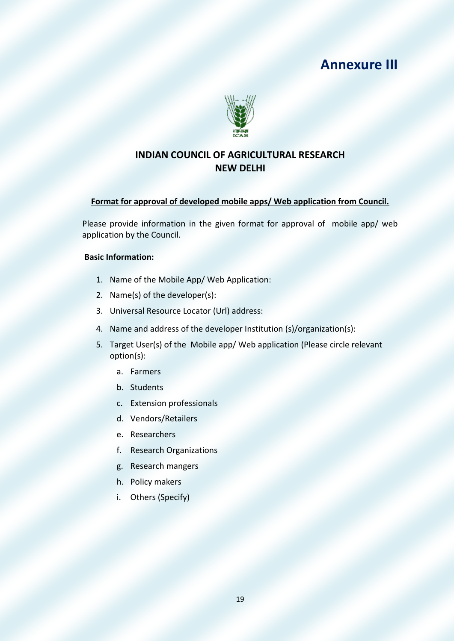### **Annexure III**



#### **INDIAN COUNCIL OF AGRICULTURAL RESEARCH NEW DELHI**

#### **Format for approval of developed mobile apps/ Web application from Council.**

Please provide information in the given format for approval of mobile app/ web application by the Council.

#### **Basic Information:**

- 1. Name of the Mobile App/ Web Application:
- 2. Name(s) of the developer(s):
- 3. Universal Resource Locator (Url) address:
- 4. Name and address of the developer Institution (s)/organization(s):
- 5. Target User(s) of the Mobile app/ Web application (Please circle relevant option(s):
	- a. Farmers
	- b. Students
	- c. Extension professionals
	- d. Vendors/Retailers
	- e. Researchers
	- f. Research Organizations
	- g. Research mangers
	- h. Policy makers
	- i. Others (Specify)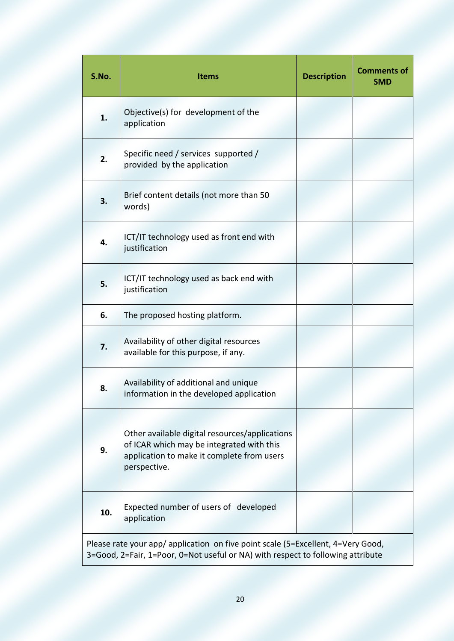| S.No.                                                                                                                                                               | <b>Items</b>                                                                                                                                              | <b>Description</b> | <b>Comments of</b><br><b>SMD</b> |
|---------------------------------------------------------------------------------------------------------------------------------------------------------------------|-----------------------------------------------------------------------------------------------------------------------------------------------------------|--------------------|----------------------------------|
| 1.                                                                                                                                                                  | Objective(s) for development of the<br>application                                                                                                        |                    |                                  |
| 2.                                                                                                                                                                  | Specific need / services supported /<br>provided by the application                                                                                       |                    |                                  |
| 3.                                                                                                                                                                  | Brief content details (not more than 50<br>words)                                                                                                         |                    |                                  |
| 4.                                                                                                                                                                  | ICT/IT technology used as front end with<br>justification                                                                                                 |                    |                                  |
| 5.                                                                                                                                                                  | ICT/IT technology used as back end with<br>justification                                                                                                  |                    |                                  |
| 6.                                                                                                                                                                  | The proposed hosting platform.                                                                                                                            |                    |                                  |
| 7.                                                                                                                                                                  | Availability of other digital resources<br>available for this purpose, if any.                                                                            |                    |                                  |
| 8.                                                                                                                                                                  | Availability of additional and unique<br>information in the developed application                                                                         |                    |                                  |
| 9.                                                                                                                                                                  | Other available digital resources/applications<br>of ICAR which may be integrated with this<br>application to make it complete from users<br>perspective. |                    |                                  |
| 10.                                                                                                                                                                 | Expected number of users of developed<br>application                                                                                                      |                    |                                  |
| Please rate your app/ application on five point scale (5=Excellent, 4=Very Good,<br>3=Good, 2=Fair, 1=Poor, 0=Not useful or NA) with respect to following attribute |                                                                                                                                                           |                    |                                  |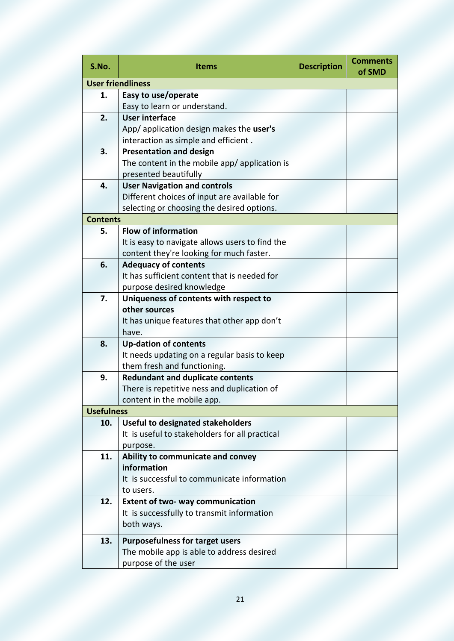| S.No.             | <b>Items</b>                                         | <b>Description</b> | <b>Comments</b><br>of SMD |
|-------------------|------------------------------------------------------|--------------------|---------------------------|
|                   | <b>User friendliness</b>                             |                    |                           |
| 1.                | Easy to use/operate                                  |                    |                           |
|                   | Easy to learn or understand.                         |                    |                           |
| 2.                | <b>User interface</b>                                |                    |                           |
|                   | App/ application design makes the user's             |                    |                           |
|                   | interaction as simple and efficient.                 |                    |                           |
| 3.                | <b>Presentation and design</b>                       |                    |                           |
|                   | The content in the mobile app/ application is        |                    |                           |
|                   | presented beautifully                                |                    |                           |
| 4.                | <b>User Navigation and controls</b>                  |                    |                           |
|                   | Different choices of input are available for         |                    |                           |
|                   | selecting or choosing the desired options.           |                    |                           |
| <b>Contents</b>   |                                                      |                    |                           |
| 5.                | <b>Flow of information</b>                           |                    |                           |
|                   | It is easy to navigate allows users to find the      |                    |                           |
|                   | content they're looking for much faster.             |                    |                           |
| 6.                | <b>Adequacy of contents</b>                          |                    |                           |
|                   | It has sufficient content that is needed for         |                    |                           |
|                   | purpose desired knowledge                            |                    |                           |
| 7.                | Uniqueness of contents with respect to               |                    |                           |
|                   | other sources                                        |                    |                           |
|                   | It has unique features that other app don't          |                    |                           |
|                   | have.                                                |                    |                           |
| 8.                | <b>Up-dation of contents</b>                         |                    |                           |
|                   | It needs updating on a regular basis to keep         |                    |                           |
|                   | them fresh and functioning.                          |                    |                           |
| 9.                | <b>Redundant and duplicate contents</b>              |                    |                           |
|                   | There is repetitive ness and duplication of          |                    |                           |
|                   | content in the mobile app.                           |                    |                           |
| <b>Usefulness</b> |                                                      |                    |                           |
| 10.               | <b>Useful to designated stakeholders</b>             |                    |                           |
|                   | It is useful to stakeholders for all practical       |                    |                           |
|                   | purpose.                                             |                    |                           |
| 11.               | Ability to communicate and convey<br>information     |                    |                           |
|                   | It is successful to communicate information          |                    |                           |
|                   |                                                      |                    |                           |
| 12.               | to users.<br><b>Extent of two- way communication</b> |                    |                           |
|                   | It is successfully to transmit information           |                    |                           |
|                   | both ways.                                           |                    |                           |
|                   |                                                      |                    |                           |
| 13.               | <b>Purposefulness for target users</b>               |                    |                           |
|                   | The mobile app is able to address desired            |                    |                           |
|                   | purpose of the user                                  |                    |                           |